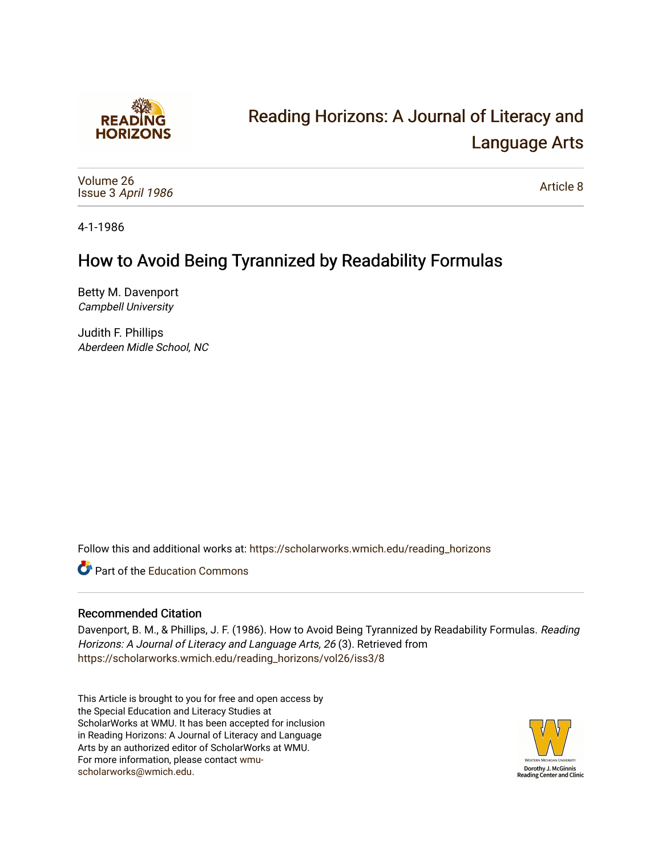

# [Reading Horizons: A Journal of Literacy and](https://scholarworks.wmich.edu/reading_horizons)  [Language Arts](https://scholarworks.wmich.edu/reading_horizons)

[Volume 26](https://scholarworks.wmich.edu/reading_horizons/vol26) Issue 3 [April 1986](https://scholarworks.wmich.edu/reading_horizons/vol26/iss3) 

[Article 8](https://scholarworks.wmich.edu/reading_horizons/vol26/iss3/8) 

4-1-1986

## How to Avoid Being Tyrannized by Readability Formulas

Betty M. Davenport Campbell University

Judith F. Phillips Aberdeen Midle School, NC

Follow this and additional works at: [https://scholarworks.wmich.edu/reading\\_horizons](https://scholarworks.wmich.edu/reading_horizons?utm_source=scholarworks.wmich.edu%2Freading_horizons%2Fvol26%2Fiss3%2F8&utm_medium=PDF&utm_campaign=PDFCoverPages)

**C** Part of the [Education Commons](http://network.bepress.com/hgg/discipline/784?utm_source=scholarworks.wmich.edu%2Freading_horizons%2Fvol26%2Fiss3%2F8&utm_medium=PDF&utm_campaign=PDFCoverPages)

### Recommended Citation

Davenport, B. M., & Phillips, J. F. (1986). How to Avoid Being Tyrannized by Readability Formulas. Reading Horizons: A Journal of Literacy and Language Arts, 26 (3). Retrieved from [https://scholarworks.wmich.edu/reading\\_horizons/vol26/iss3/8](https://scholarworks.wmich.edu/reading_horizons/vol26/iss3/8?utm_source=scholarworks.wmich.edu%2Freading_horizons%2Fvol26%2Fiss3%2F8&utm_medium=PDF&utm_campaign=PDFCoverPages) 

This Article is brought to you for free and open access by the Special Education and Literacy Studies at ScholarWorks at WMU. It has been accepted for inclusion in Reading Horizons: A Journal of Literacy and Language Arts by an authorized editor of ScholarWorks at WMU. For more information, please contact [wmu](mailto:wmu-scholarworks@wmich.edu)[scholarworks@wmich.edu.](mailto:wmu-scholarworks@wmich.edu)

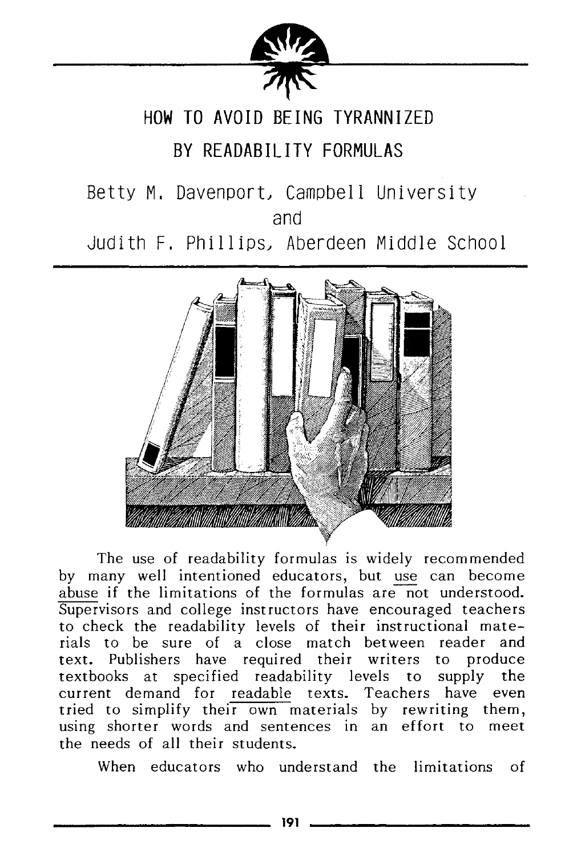

## HOW TO AVOID BEING TYRANNIZED

### BY READABILITY FORMULAS

Betty M. Davenport, Campbell University and Judith F. Phillips, Aberdeen Middle School



The use of readability formulas is widely recommended by many well intentioned educators, but use can become abuse if the limitations of the formulas are not understood. Supervisors and college instructors have encouraged teachers to check the readability levels of their instructional materials to be sure of a close match between reader and text. Publishers have required their writers to produce textbooks at specified readability levels to supply the current demand for readable texts. Teachers have even tried to simplify their own materials by rewriting them, using shorter words and sentences in an effort to meet the needs of all their students.

When educators who understand the limitations of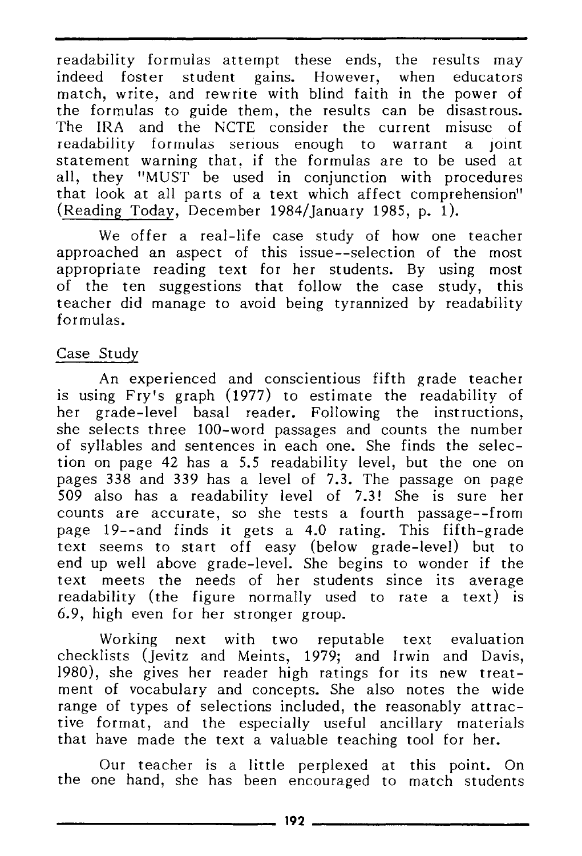readability formulas attempt these ends, the results may indeed foster student gains. However, when educators match, write, and rewrite with blind faith in the power of the formulas to guide them, the results can be disastrous. The IRA and the NCTE consider the current misuse of readability formulas serious enough to warrant a Joint statement warning that, if the formulas are to be used at all, they "MUST be used in conjunction with procedures that look at all parts of a text which affect comprehension" (Reading Today, December 1984/ January 1985, p. 1).

We offer a real-life case study of how one teacher approached an aspect of this issue--selection of the most appropriate reading text for her students. By using most of the ten suggestions that follow the case study, this teacher did manage to avoid being tyrannized by readability formulas.

#### Case Study

An experienced and conscientious fifth grade teacher is using Fry's graph (1977) to estimate the readability of her grade-level basal reader. Following the instructions, she selects three 100-word passages and counts the number of syllables and sentences in each one. She finds the selection on page 42 has a 5.5 readability level, but the one on pages 338 and 339 has a level of 7.3. The passage on page 509 also has a readability level of 7.3! She is sure her counts are accurate, so she tests a fourth passage--from page 19--and finds it gets a 4.0 rating. This fifth-grade text seems to start off easy (below grade-level) but to end up well above grade-level. She begins to wonder if the text meets the needs of her students since its average readability (the figure normally used to rate a text) is 6.9, high even for her stronger group.

Working next with two reputable text evaluation checklists (Jevitz and Meints, 1979; and Irwin and Davis, 1980), she gives her reader high ratings for its new treatment of vocabulary and concepts. She also notes the wide range of types of selections included, the reasonably attractive format, and the especially useful ancillary materials that have made the text a valuable teaching tool for her.

Our teacher is a little perplexed at this point. On the one hand, she has been encouraged to match students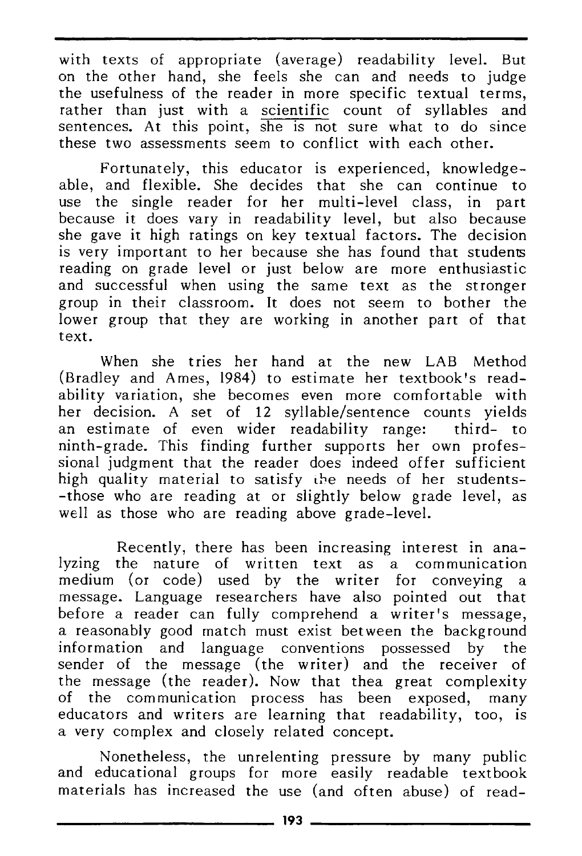with texts of appropriate (average) readability level. But on the other hand, she feels she can and needs to judge the usefulness of the reader in more specific textual terms, rather than just with a scientific count of syllables and sentences. At this point, she is not sure what to do since these two assessments seem to conflict with each other.

Fortunately, this educator is experienced, knowledgeable, and flexible. She decides that she can continue to use the single reader for her multi-level class, in part because it does vary in readability level, but also because she gave it high ratings on key textual factors. The decision is very important to her because she has found that students reading on grade level or just below are more enthusiastic and successful when using the same text as the stronger group in their classroom. It does not seem to bother the lower group that they are working in another part of that text.

When she tries her hand at the new LAB Method (Bradley and Ames, 1984) to estimate her textbook's readability variation, she becomes even more comfortable with her decision. A set of 12 syllable/sentence counts yields an estimate of even wider readability range: third- to ninth-grade. This finding further supports her own professional judgment that the reader does indeed offer sufficient high quality material to satisfy the needs of her students--those who are reading at or slightly below grade level, as well as those who are reading above grade-level.

Recently, there has been increasing interest in analyzing the nature of written text as a communication medium (or code) used by the writer for conveying a message. Language researchers have also pointed out that before a reader can fully comprehend a writer's message, a reasonably good match must exist between the background information and language conventions possessed by the sender of the message (the writer) and the receiver of the message (the reader). Now that thea great complexity of the communication process has been exposed, many educators and writers are learning that readability, too, is a very complex and closely related concept.

Nonetheless, the unrelenting pressure by many public and educational groups for more easily readable textbook materials has increased the use (and often abuse) of read-**193 \_\_\_\_\_\_\_\_\_\_\_\_ \_**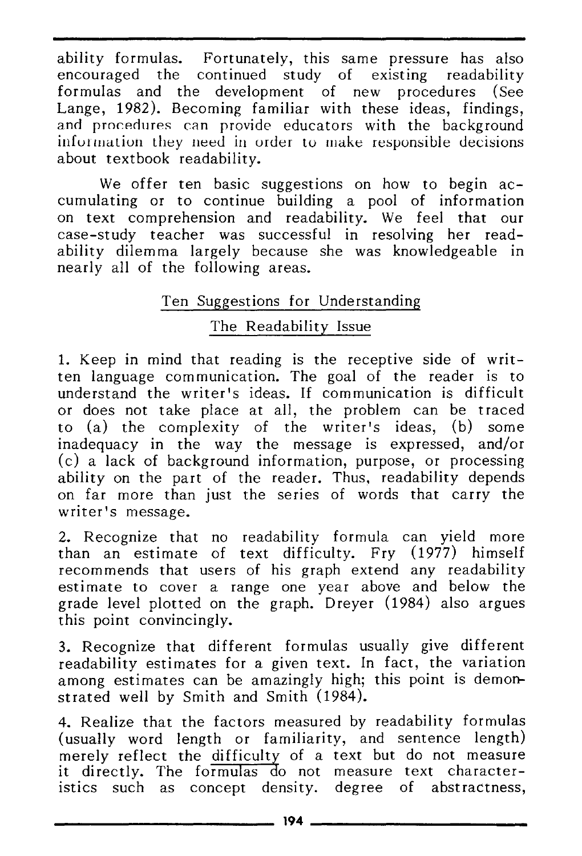ability formulas. Fortunately, this same pressure has also encouraged the continued study of existing readability formulas and the development of new procedures (See Lange, 1982). Becoming familiar with these ideas, findings, and procedures can provide educators with the background infurmation they need in order to make responsible decisions about textbook readability.

We offer ten basic suggestions on how to begin accumulating or to continue building a pool of information on text comprehension and readability. We feel that our case-study teacher was successful in resolving her readability dilemma largely because she was knowledgeable in nearly all of the following areas.

### Ten Suggestions for Understanding

### The Readability Issue

1. Keep in mind that reading is the receptive side of written language com munication. The goal of the reader is to understand the writer's ideas. If communication is difficult or does not take place at all, the problem can be traced to (a) the complexity of the writer's ideas, (b) some inadequacy in the way the message is expressed, and/or (c) a lack of background information, purpose, or processing ability on the part of the reader. Thus, readability depends on far more than just the series of words that carry the writer's message.

2. Recognize that no readability formula can yield more than an estimate of text difficulty. Fry (1977) himself recommends that users of his graph extend any readability estimate to cover a range one year above and below the grade level plotted on the graph. Dreyer (1984) also argues this point convincingly.

3. Recognize that different formulas usually give different readability estimates for a given text. In fact, the variation among estimates can be amazingly high; this point is demonstrated well by Smith and Smith (1984).

4. Realize that the factors measured by readability formulas (usually word length or familiarity, and sentence length) merely reflect the difficulty of a text but do not measure it directly. The formulas do not measure text characteristics such as concept density. degree of abstractness, **194 \_\_\_\_\_\_\_\_\_\_\_\_ \_**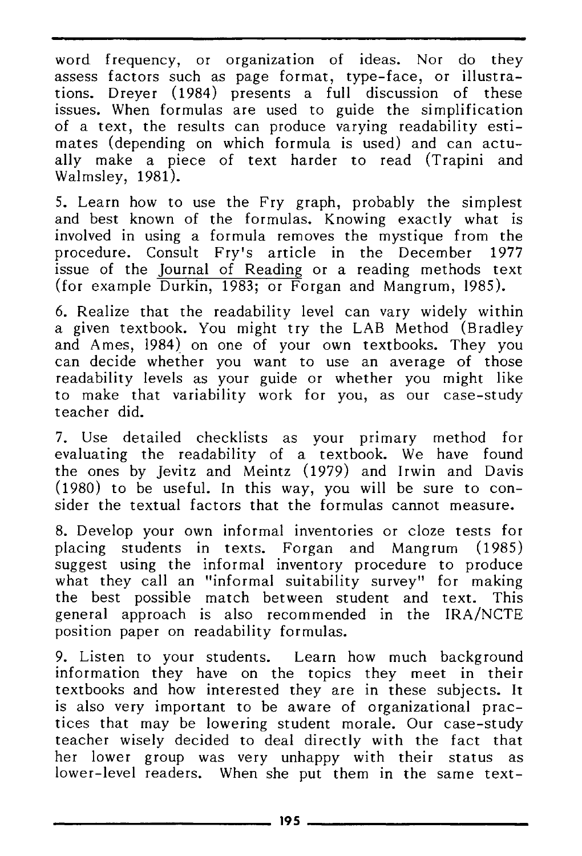word frequency, or organization of ideas. Nor do they assess factors such as page format, type-face, or illustrations. Drever (1984) presents a full discussion of these issues. When formulas are used to guide the simplification of a text, the results can produce varying readability estimates (depending on which formula is used) and can actually make a piece of text harder to read (Trapini and Walmsley, 1981).

5. Learn how to use the Fry graph, probably the simplest and best known of the formulas. Knowing exactly what is involved in using a formula removes the mystique from the procedure. Consult Fry's article in the December 1977 issue of the Journal of Reading or a reading methods text (for example Durkin, 1983; or Forgan and Mangrum, 1985).

6. Realize that the readability level can vary widely within a given textbook. You might try the LAB Method (Bradley and Ames, 1984) on one of your own textbooks. They you can decide whether you want to use an average of those readability levels as your guide or whether you might like to make that variability work for you, as our case-study teacher did.

7. Use detailed checklists as your primary method for evaluating the readability of a textbook. We have found the ones by Jevitz and Meintz (1979) and Irwin and Davis (1980) to be useful. In this way, you will be sure to consider the textual factors that the formulas cannot measure.

8. Develop your own informal inventories or cloze tests for placing students in texts. Forgan and Mangrum (1985) suggest using the informal inventory procedure to produce what they call an "informal suitability survey" for making the best possible match between student and text. This general approach is also recommended in the IRA/NCTE position paper on readability formulas.

9. Listen to your students. Learn how much background information they have on the topics they meet in their textbooks and how interested they are in these subjects. It is also very important to be aware of organizational practices that may be lowering student morale. Our case-study teacher wisely decided to deal directly with the fact that her lower group was very unhappy with their status as lower-level readers. When she put them in the same text-